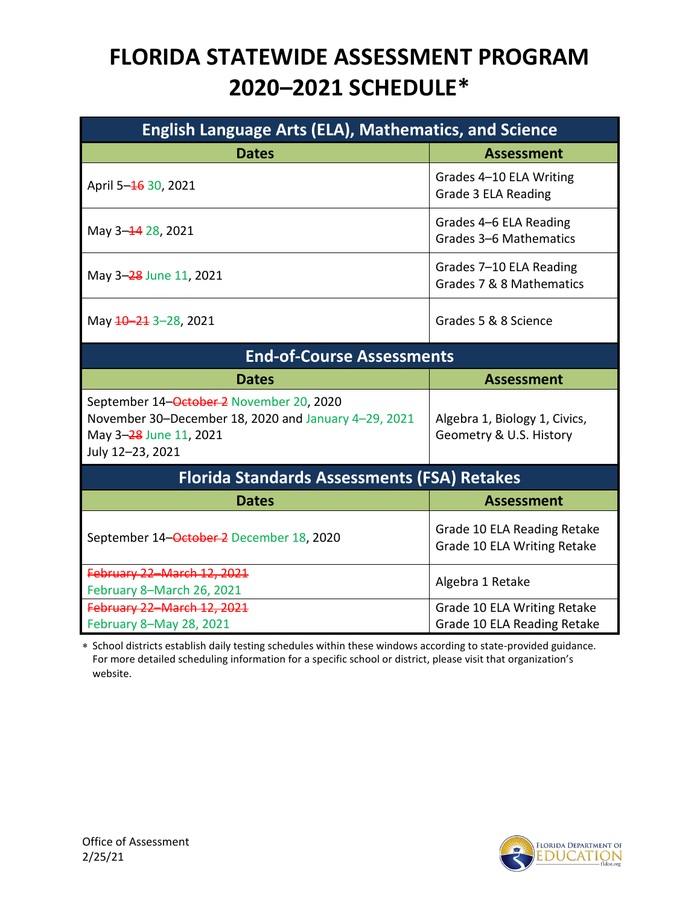## **FLORIDA STATEWIDE ASSESSMENT PROGRAM 2020–2021 SCHEDULE\***

| <b>English Language Arts (ELA), Mathematics, and Science</b>                                                                                   |                                                            |  |
|------------------------------------------------------------------------------------------------------------------------------------------------|------------------------------------------------------------|--|
| <b>Dates</b>                                                                                                                                   | <b>Assessment</b>                                          |  |
| April 5-46 30, 2021                                                                                                                            | Grades 4-10 ELA Writing<br>Grade 3 ELA Reading             |  |
| May 3-44 28, 2021                                                                                                                              | Grades 4-6 ELA Reading<br>Grades 3-6 Mathematics           |  |
| May 3-28 June 11, 2021                                                                                                                         | Grades 7-10 ELA Reading<br>Grades 7 & 8 Mathematics        |  |
| May $10 - 21$ 3-28, 2021                                                                                                                       | Grades 5 & 8 Science                                       |  |
| <b>End-of-Course Assessments</b>                                                                                                               |                                                            |  |
| <b>Dates</b>                                                                                                                                   | <b>Assessment</b>                                          |  |
| September 14-October 2 November 20, 2020<br>November 30-December 18, 2020 and January 4-29, 2021<br>May 3-28 June 11, 2021<br>July 12-23, 2021 | Algebra 1, Biology 1, Civics,<br>Geometry & U.S. History   |  |
| <b>Florida Standards Assessments (FSA) Retakes</b>                                                                                             |                                                            |  |
| <b>Dates</b>                                                                                                                                   | <b>Assessment</b>                                          |  |
| September 14-October 2 December 18, 2020                                                                                                       | Grade 10 ELA Reading Retake<br>Grade 10 ELA Writing Retake |  |
| February 22-March 12, 2021<br>February 8-March 26, 2021                                                                                        | Algebra 1 Retake                                           |  |
| February 22-March 12, 2021<br>February 8-May 28, 2021                                                                                          | Grade 10 ELA Writing Retake<br>Grade 10 ELA Reading Retake |  |

∗ School districts establish daily testing schedules within these windows according to state-provided guidance. For more detailed scheduling information for a specific school or district, please visit that organization's website.